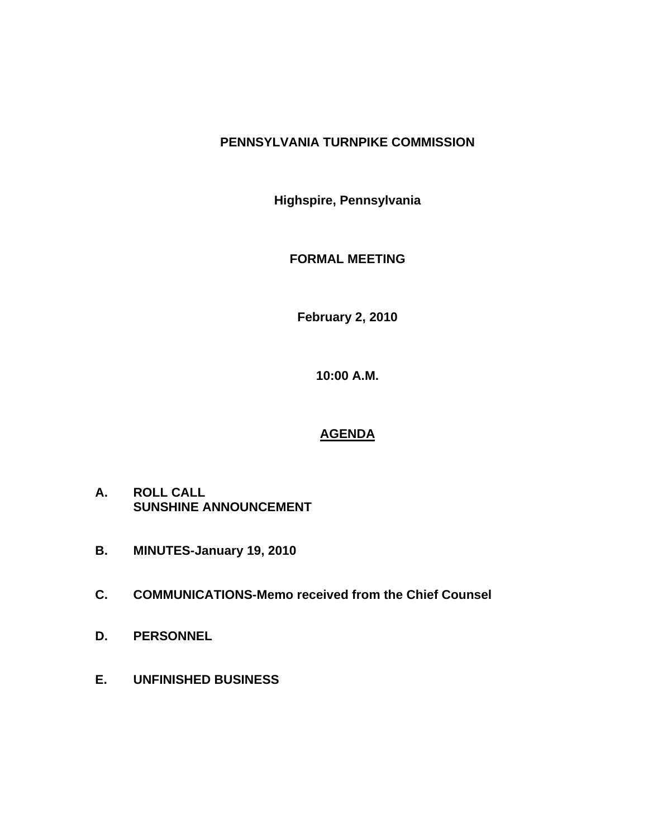# **PENNSYLVANIA TURNPIKE COMMISSION**

**Highspire, Pennsylvania** 

**FORMAL MEETING** 

**February 2, 2010** 

**10:00 A.M.** 

# **AGENDA**

- **A. ROLL CALL SUNSHINE ANNOUNCEMENT**
- **B. MINUTES-January 19, 2010**
- **C. COMMUNICATIONS-Memo received from the Chief Counsel**
- **D. PERSONNEL**
- **E. UNFINISHED BUSINESS**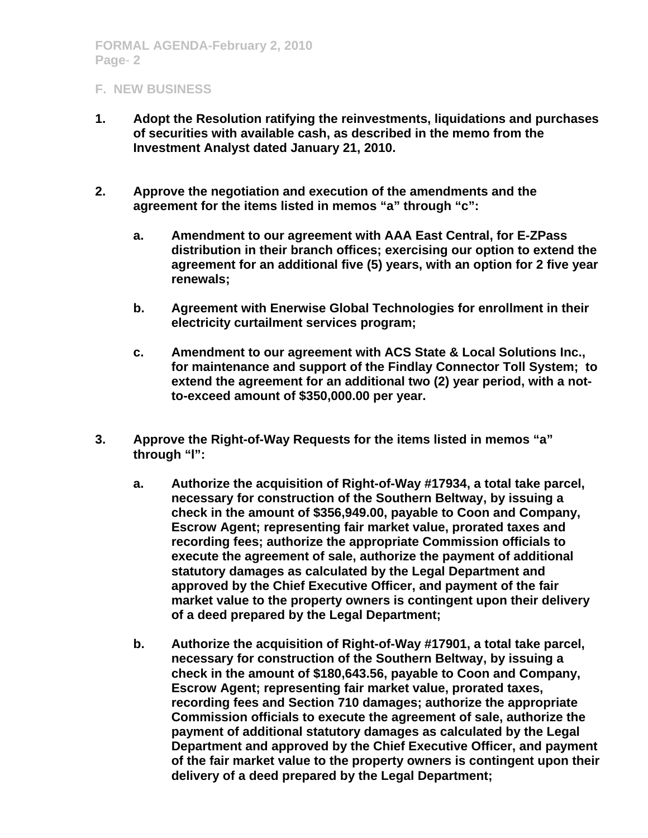- **1. Adopt the Resolution ratifying the reinvestments, liquidations and purchases of securities with available cash, as described in the memo from the Investment Analyst dated January 21, 2010.**
- **2. Approve the negotiation and execution of the amendments and the agreement for the items listed in memos "a" through "c":** 
	- **a. Amendment to our agreement with AAA East Central, for E-ZPass distribution in their branch offices; exercising our option to extend the agreement for an additional five (5) years, with an option for 2 five year renewals;**
	- **b. Agreement with Enerwise Global Technologies for enrollment in their electricity curtailment services program;**
	- **c. Amendment to our agreement with ACS State & Local Solutions Inc., for maintenance and support of the Findlay Connector Toll System; to extend the agreement for an additional two (2) year period, with a notto-exceed amount of \$350,000.00 per year.**
- **3. Approve the Right-of-Way Requests for the items listed in memos "a" through "l":** 
	- **a. Authorize the acquisition of Right-of-Way #17934, a total take parcel, necessary for construction of the Southern Beltway, by issuing a check in the amount of \$356,949.00, payable to Coon and Company, Escrow Agent; representing fair market value, prorated taxes and recording fees; authorize the appropriate Commission officials to execute the agreement of sale, authorize the payment of additional statutory damages as calculated by the Legal Department and approved by the Chief Executive Officer, and payment of the fair market value to the property owners is contingent upon their delivery of a deed prepared by the Legal Department;**
	- **b. Authorize the acquisition of Right-of-Way #17901, a total take parcel, necessary for construction of the Southern Beltway, by issuing a check in the amount of \$180,643.56, payable to Coon and Company, Escrow Agent; representing fair market value, prorated taxes, recording fees and Section 710 damages; authorize the appropriate Commission officials to execute the agreement of sale, authorize the payment of additional statutory damages as calculated by the Legal Department and approved by the Chief Executive Officer, and payment of the fair market value to the property owners is contingent upon their delivery of a deed prepared by the Legal Department;**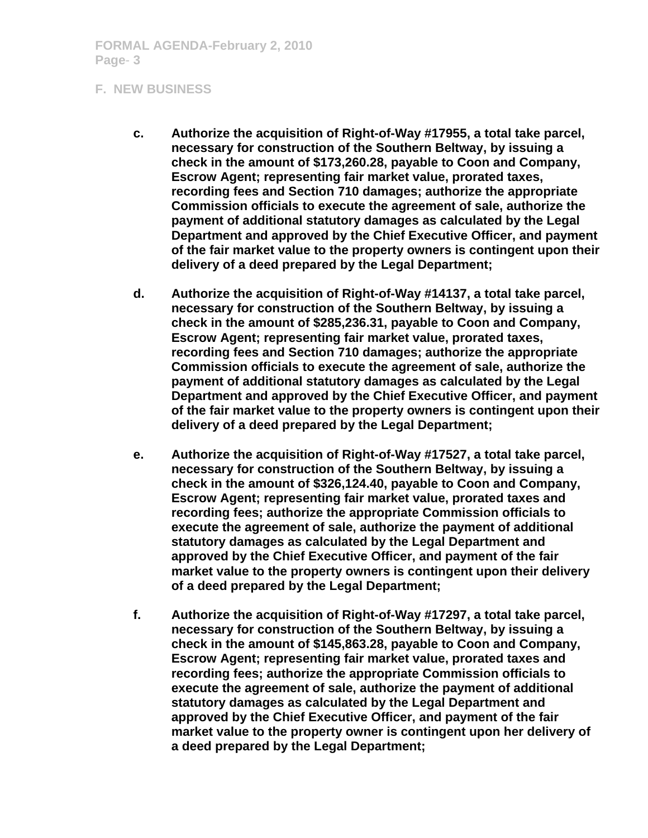- **c. Authorize the acquisition of Right-of-Way #17955, a total take parcel, necessary for construction of the Southern Beltway, by issuing a check in the amount of \$173,260.28, payable to Coon and Company, Escrow Agent; representing fair market value, prorated taxes, recording fees and Section 710 damages; authorize the appropriate Commission officials to execute the agreement of sale, authorize the payment of additional statutory damages as calculated by the Legal Department and approved by the Chief Executive Officer, and payment of the fair market value to the property owners is contingent upon their delivery of a deed prepared by the Legal Department;**
- **d. Authorize the acquisition of Right-of-Way #14137, a total take parcel, necessary for construction of the Southern Beltway, by issuing a check in the amount of \$285,236.31, payable to Coon and Company, Escrow Agent; representing fair market value, prorated taxes, recording fees and Section 710 damages; authorize the appropriate Commission officials to execute the agreement of sale, authorize the payment of additional statutory damages as calculated by the Legal Department and approved by the Chief Executive Officer, and payment of the fair market value to the property owners is contingent upon their delivery of a deed prepared by the Legal Department;**
- **e. Authorize the acquisition of Right-of-Way #17527, a total take parcel, necessary for construction of the Southern Beltway, by issuing a check in the amount of \$326,124.40, payable to Coon and Company, Escrow Agent; representing fair market value, prorated taxes and recording fees; authorize the appropriate Commission officials to execute the agreement of sale, authorize the payment of additional statutory damages as calculated by the Legal Department and approved by the Chief Executive Officer, and payment of the fair market value to the property owners is contingent upon their delivery of a deed prepared by the Legal Department;**
- **f. Authorize the acquisition of Right-of-Way #17297, a total take parcel, necessary for construction of the Southern Beltway, by issuing a check in the amount of \$145,863.28, payable to Coon and Company, Escrow Agent; representing fair market value, prorated taxes and recording fees; authorize the appropriate Commission officials to execute the agreement of sale, authorize the payment of additional statutory damages as calculated by the Legal Department and approved by the Chief Executive Officer, and payment of the fair market value to the property owner is contingent upon her delivery of a deed prepared by the Legal Department;**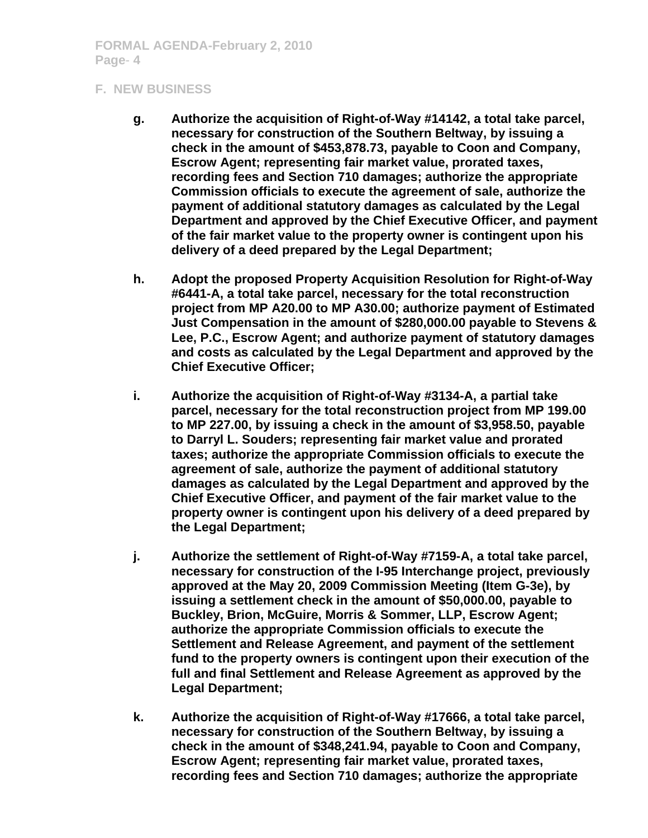- **g. Authorize the acquisition of Right-of-Way #14142, a total take parcel, necessary for construction of the Southern Beltway, by issuing a check in the amount of \$453,878.73, payable to Coon and Company, Escrow Agent; representing fair market value, prorated taxes, recording fees and Section 710 damages; authorize the appropriate Commission officials to execute the agreement of sale, authorize the payment of additional statutory damages as calculated by the Legal Department and approved by the Chief Executive Officer, and payment of the fair market value to the property owner is contingent upon his delivery of a deed prepared by the Legal Department;**
- **h. Adopt the proposed Property Acquisition Resolution for Right-of-Way #6441-A, a total take parcel, necessary for the total reconstruction project from MP A20.00 to MP A30.00; authorize payment of Estimated Just Compensation in the amount of \$280,000.00 payable to Stevens & Lee, P.C., Escrow Agent; and authorize payment of statutory damages and costs as calculated by the Legal Department and approved by the Chief Executive Officer;**
- **i. Authorize the acquisition of Right-of-Way #3134-A, a partial take parcel, necessary for the total reconstruction project from MP 199.00 to MP 227.00, by issuing a check in the amount of \$3,958.50, payable to Darryl L. Souders; representing fair market value and prorated taxes; authorize the appropriate Commission officials to execute the agreement of sale, authorize the payment of additional statutory damages as calculated by the Legal Department and approved by the Chief Executive Officer, and payment of the fair market value to the property owner is contingent upon his delivery of a deed prepared by the Legal Department;**
- **j. Authorize the settlement of Right-of-Way #7159-A, a total take parcel, necessary for construction of the I-95 Interchange project, previously approved at the May 20, 2009 Commission Meeting (Item G-3e), by issuing a settlement check in the amount of \$50,000.00, payable to Buckley, Brion, McGuire, Morris & Sommer, LLP, Escrow Agent; authorize the appropriate Commission officials to execute the Settlement and Release Agreement, and payment of the settlement fund to the property owners is contingent upon their execution of the full and final Settlement and Release Agreement as approved by the Legal Department;**
- **k. Authorize the acquisition of Right-of-Way #17666, a total take parcel, necessary for construction of the Southern Beltway, by issuing a check in the amount of \$348,241.94, payable to Coon and Company, Escrow Agent; representing fair market value, prorated taxes, recording fees and Section 710 damages; authorize the appropriate**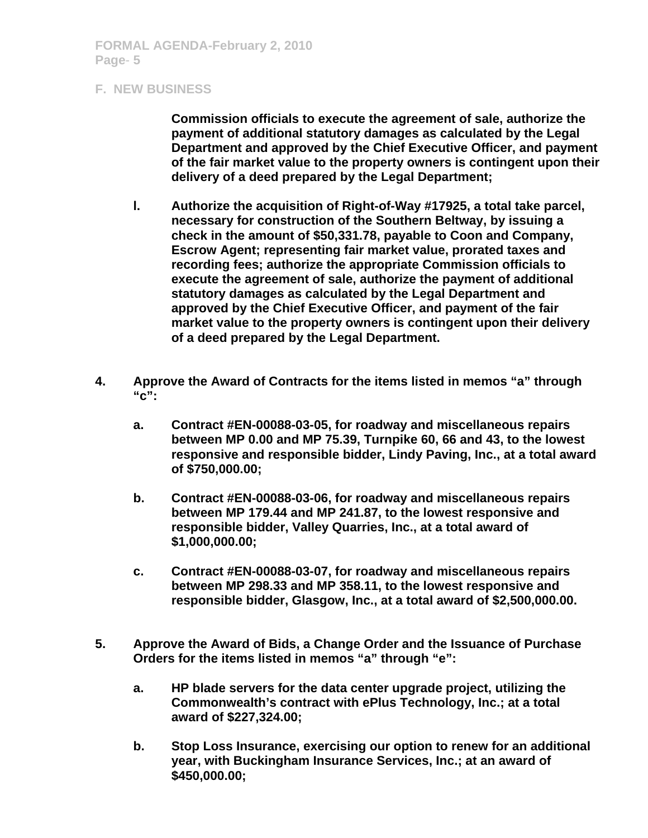**Commission officials to execute the agreement of sale, authorize the payment of additional statutory damages as calculated by the Legal Department and approved by the Chief Executive Officer, and payment of the fair market value to the property owners is contingent upon their delivery of a deed prepared by the Legal Department;** 

- **l. Authorize the acquisition of Right-of-Way #17925, a total take parcel, necessary for construction of the Southern Beltway, by issuing a check in the amount of \$50,331.78, payable to Coon and Company, Escrow Agent; representing fair market value, prorated taxes and recording fees; authorize the appropriate Commission officials to execute the agreement of sale, authorize the payment of additional statutory damages as calculated by the Legal Department and approved by the Chief Executive Officer, and payment of the fair market value to the property owners is contingent upon their delivery of a deed prepared by the Legal Department.**
- **4. Approve the Award of Contracts for the items listed in memos "a" through "c":** 
	- **a. Contract #EN-00088-03-05, for roadway and miscellaneous repairs between MP 0.00 and MP 75.39, Turnpike 60, 66 and 43, to the lowest responsive and responsible bidder, Lindy Paving, Inc., at a total award of \$750,000.00;**
	- **b. Contract #EN-00088-03-06, for roadway and miscellaneous repairs between MP 179.44 and MP 241.87, to the lowest responsive and responsible bidder, Valley Quarries, Inc., at a total award of \$1,000,000.00;**
	- **c. Contract #EN-00088-03-07, for roadway and miscellaneous repairs between MP 298.33 and MP 358.11, to the lowest responsive and responsible bidder, Glasgow, Inc., at a total award of \$2,500,000.00.**
- **5. Approve the Award of Bids, a Change Order and the Issuance of Purchase Orders for the items listed in memos "a" through "e":** 
	- **a. HP blade servers for the data center upgrade project, utilizing the Commonwealth's contract with ePlus Technology, Inc.; at a total award of \$227,324.00;**
	- **b. Stop Loss Insurance, exercising our option to renew for an additional year, with Buckingham Insurance Services, Inc.; at an award of \$450,000.00;**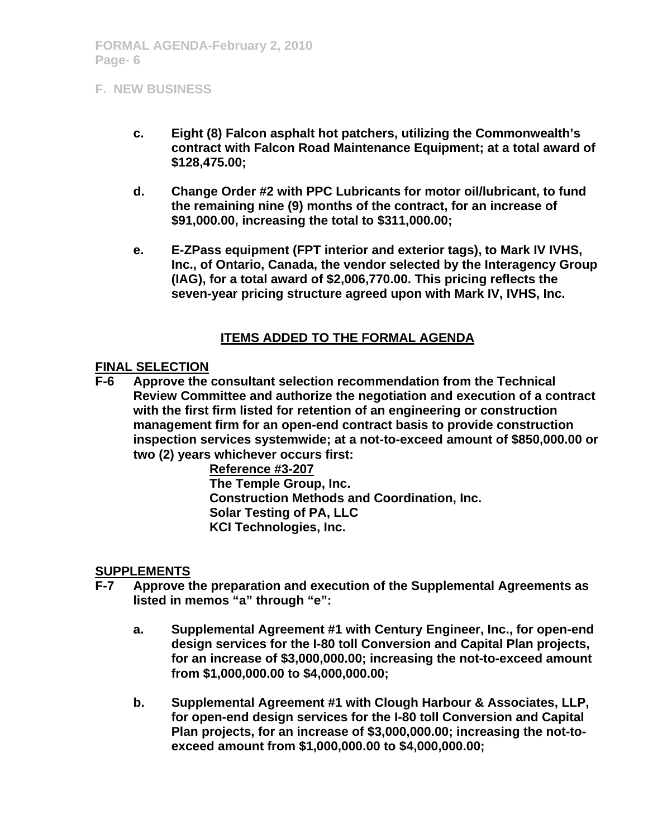- **c. Eight (8) Falcon asphalt hot patchers, utilizing the Commonwealth's contract with Falcon Road Maintenance Equipment; at a total award of \$128,475.00;**
- **d. Change Order #2 with PPC Lubricants for motor oil/lubricant, to fund the remaining nine (9) months of the contract, for an increase of \$91,000.00, increasing the total to \$311,000.00;**
- **e. E-ZPass equipment (FPT interior and exterior tags), to Mark IV IVHS, Inc., of Ontario, Canada, the vendor selected by the Interagency Group (IAG), for a total award of \$2,006,770.00. This pricing reflects the seven-year pricing structure agreed upon with Mark IV, IVHS, Inc.**

### **ITEMS ADDED TO THE FORMAL AGENDA**

### **FINAL SELECTION**

**F-6 Approve the consultant selection recommendation from the Technical Review Committee and authorize the negotiation and execution of a contract with the first firm listed for retention of an engineering or construction management firm for an open-end contract basis to provide construction inspection services systemwide; at a not-to-exceed amount of \$850,000.00 or two (2) years whichever occurs first:** 

> **Reference #3-207 The Temple Group, Inc. Construction Methods and Coordination, Inc. Solar Testing of PA, LLC KCI Technologies, Inc.**

### **SUPPLEMENTS**

- **F-7 Approve the preparation and execution of the Supplemental Agreements as listed in memos "a" through "e":** 
	- **a. Supplemental Agreement #1 with Century Engineer, Inc., for open-end design services for the I-80 toll Conversion and Capital Plan projects, for an increase of \$3,000,000.00; increasing the not-to-exceed amount from \$1,000,000.00 to \$4,000,000.00;**
	- **b. Supplemental Agreement #1 with Clough Harbour & Associates, LLP, for open-end design services for the I-80 toll Conversion and Capital Plan projects, for an increase of \$3,000,000.00; increasing the not-toexceed amount from \$1,000,000.00 to \$4,000,000.00;**